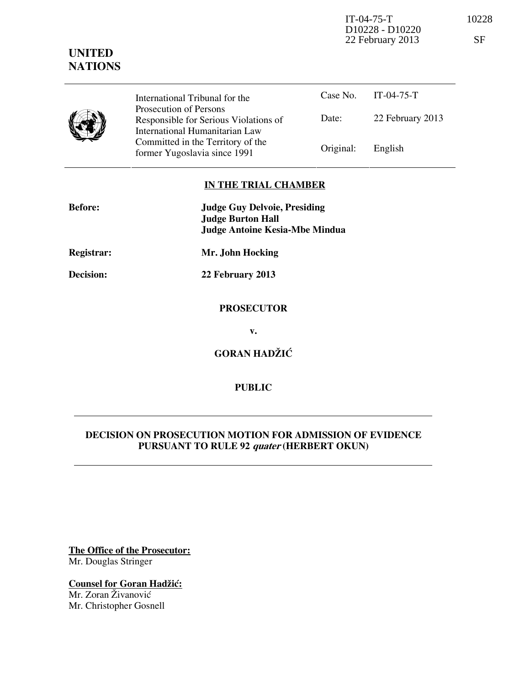IT-04-75-T 10228 D10228 - D10220 22 February 2013 SF

| <b>UNITED</b>  |
|----------------|
| <b>NATIONS</b> |

| International Tribunal for the                                                                    |           | Case No. IT-04-75-T |
|---------------------------------------------------------------------------------------------------|-----------|---------------------|
| Prosecution of Persons<br>Responsible for Serious Violations of<br>International Humanitarian Law | Date:     | 22 February 2013    |
| Committed in the Territory of the<br>former Yugoslavia since 1991                                 | Original: | English             |

## **IN THE TRIAL CHAMBER**

| <b>Before:</b> | <b>Judge Guy Delvoie, Presiding</b><br><b>Judge Burton Hall</b> |  |  |
|----------------|-----------------------------------------------------------------|--|--|
|                | <b>Judge Antoine Kesia-Mbe Mindua</b>                           |  |  |
| Registrar:     | Mr. John Hocking                                                |  |  |
| Decision:      | 22 February 2013                                                |  |  |
|                | <b>PROSECUTOR</b>                                               |  |  |
|                | v.                                                              |  |  |
|                | <b>GORAN HADŽIĆ</b>                                             |  |  |
|                |                                                                 |  |  |

# **DECISION ON PROSECUTION MOTION FOR ADMISSION OF EVIDENCE PURSUANT TO RULE 92 quater (HERBERT OKUN)**

**PUBLIC** 

**The Office of the Prosecutor:** Mr. Douglas Stringer

**Counsel for Goran Hadžić:** Mr. Zoran Živanović Mr. Christopher Gosnell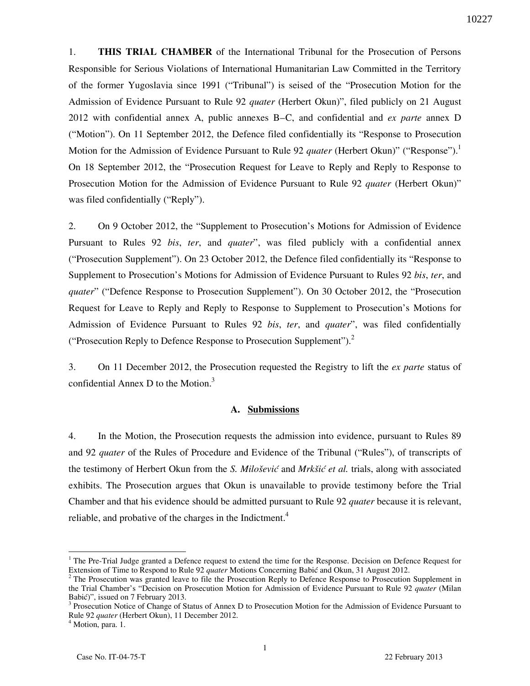1. **THIS TRIAL CHAMBER** of the International Tribunal for the Prosecution of Persons Responsible for Serious Violations of International Humanitarian Law Committed in the Territory of the former Yugoslavia since 1991 ("Tribunal") is seised of the "Prosecution Motion for the Admission of Evidence Pursuant to Rule 92 *quater* (Herbert Okun)", filed publicly on 21 August 2012 with confidential annex A, public annexes B–C, and confidential and *ex parte* annex D ("Motion"). On 11 September 2012, the Defence filed confidentially its "Response to Prosecution Motion for the Admission of Evidence Pursuant to Rule 92 *quater* (Herbert Okun)" ("Response").<sup>1</sup> On 18 September 2012, the "Prosecution Request for Leave to Reply and Reply to Response to Prosecution Motion for the Admission of Evidence Pursuant to Rule 92 *quater* (Herbert Okun)" was filed confidentially ("Reply").

2. On 9 October 2012, the "Supplement to Prosecution's Motions for Admission of Evidence Pursuant to Rules 92 *bis*, *ter*, and *quater*", was filed publicly with a confidential annex ("Prosecution Supplement"). On 23 October 2012, the Defence filed confidentially its "Response to Supplement to Prosecution's Motions for Admission of Evidence Pursuant to Rules 92 *bis*, *ter*, and *quater*" ("Defence Response to Prosecution Supplement"). On 30 October 2012, the "Prosecution" Request for Leave to Reply and Reply to Response to Supplement to Prosecution's Motions for Admission of Evidence Pursuant to Rules 92 *bis*, *ter*, and *quater*", was filed confidentially ("Prosecution Reply to Defence Response to Prosecution Supplement"). $^2$ 

3. On 11 December 2012, the Prosecution requested the Registry to lift the *ex parte* status of confidential Annex D to the Motion. $3$ 

## **A. Submissions**

4. In the Motion, the Prosecution requests the admission into evidence, pursuant to Rules 89 and 92 *quater* of the Rules of Procedure and Evidence of the Tribunal ("Rules"), of transcripts of the testimony of Herbert Okun from the *S. Milošević* and *Mrkšić et al.* trials, along with associated exhibits. The Prosecution argues that Okun is unavailable to provide testimony before the Trial Chamber and that his evidence should be admitted pursuant to Rule 92 *quater* because it is relevant, reliable, and probative of the charges in the Indictment.<sup>4</sup>

<sup>&</sup>lt;sup>1</sup> The Pre-Trial Judge granted a Defence request to extend the time for the Response. Decision on Defence Request for Extension of Time to Respond to Rule 92 *quater* Motions Concerning Babić and Okun, 31 August 2012.

<sup>&</sup>lt;sup>2</sup> The Prosecution was granted leave to file the Prosecution Reply to Defence Response to Prosecution Supplement in the Trial Chamber's "Decision on Prosecution Motion for Admission of Evidence Pursuant to Rule 92 *quater* (Milan Babić)", issued on 7 February 2013.

<sup>&</sup>lt;sup>3</sup> Prosecution Notice of Change of Status of Annex D to Prosecution Motion for the Admission of Evidence Pursuant to Rule 92 *quater* (Herbert Okun), 11 December 2012.

<sup>&</sup>lt;sup>4</sup> Motion, para. 1.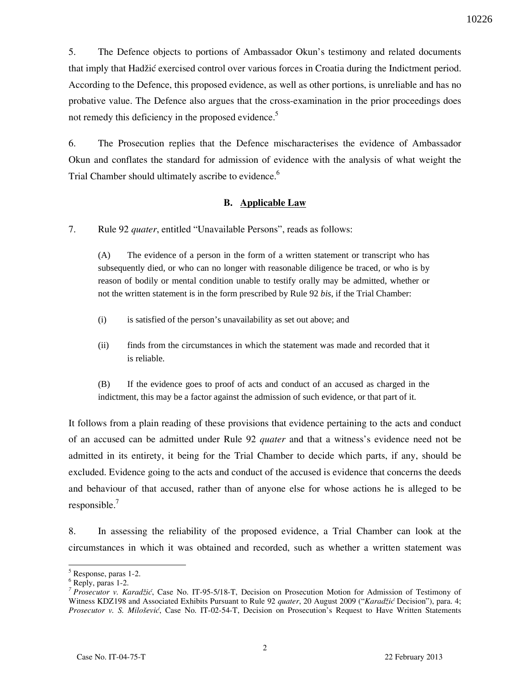5. The Defence objects to portions of Ambassador Okun's testimony and related documents that imply that Hadžić exercised control over various forces in Croatia during the Indictment period. According to the Defence, this proposed evidence, as well as other portions, is unreliable and has no probative value. The Defence also argues that the cross-examination in the prior proceedings does not remedy this deficiency in the proposed evidence.<sup>5</sup>

6. The Prosecution replies that the Defence mischaracterises the evidence of Ambassador Okun and conflates the standard for admission of evidence with the analysis of what weight the Trial Chamber should ultimately ascribe to evidence.<sup>6</sup>

## **B. Applicable Law**

7. Rule 92 *quater*, entitled "Unavailable Persons", reads as follows:

(A) The evidence of a person in the form of a written statement or transcript who has subsequently died, or who can no longer with reasonable diligence be traced, or who is by reason of bodily or mental condition unable to testify orally may be admitted, whether or not the written statement is in the form prescribed by Rule 92 *bis*, if the Trial Chamber:

- (i) is satisfied of the person's unavailability as set out above; and
- (ii) finds from the circumstances in which the statement was made and recorded that it is reliable.

(B) If the evidence goes to proof of acts and conduct of an accused as charged in the indictment, this may be a factor against the admission of such evidence, or that part of it.

It follows from a plain reading of these provisions that evidence pertaining to the acts and conduct of an accused can be admitted under Rule 92 *quater* and that a witness's evidence need not be admitted in its entirety, it being for the Trial Chamber to decide which parts, if any, should be excluded. Evidence going to the acts and conduct of the accused is evidence that concerns the deeds and behaviour of that accused, rather than of anyone else for whose actions he is alleged to be responsible.<sup>7</sup>

8. In assessing the reliability of the proposed evidence, a Trial Chamber can look at the circumstances in which it was obtained and recorded, such as whether a written statement was

<sup>5</sup> Response, paras 1-2.

<sup>6</sup> Reply, paras 1-2.

<sup>&</sup>lt;sup>7</sup> Prosecutor v. Karadžić, Case No. IT-95-5/18-T, Decision on Prosecution Motion for Admission of Testimony of Witness KDZ198 and Associated Exhibits Pursuant to Rule 92 *quater*, 20 August 2009 ("*Karadžić* Decision"), para. 4; *Prosecutor v. S. Milošević*, Case No. IT-02-54-T, Decision on Prosecution's Request to Have Written Statements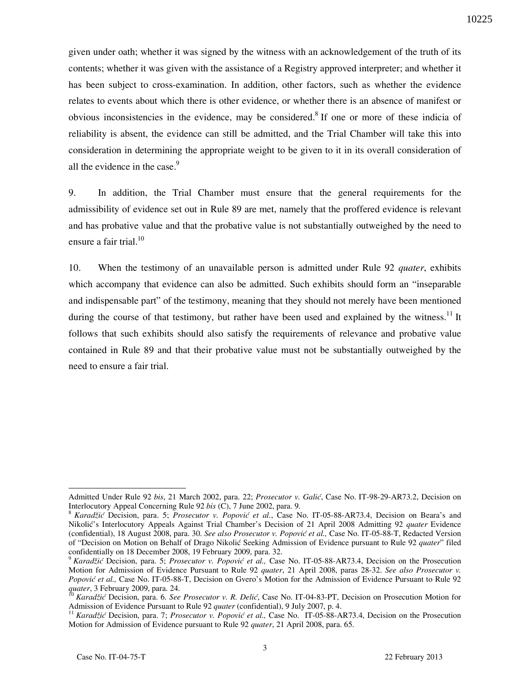given under oath; whether it was signed by the witness with an acknowledgement of the truth of its contents; whether it was given with the assistance of a Registry approved interpreter; and whether it has been subject to cross-examination. In addition, other factors, such as whether the evidence relates to events about which there is other evidence, or whether there is an absence of manifest or obvious inconsistencies in the evidence, may be considered.<sup>8</sup> If one or more of these indicia of reliability is absent, the evidence can still be admitted, and the Trial Chamber will take this into consideration in determining the appropriate weight to be given to it in its overall consideration of all the evidence in the case. $9$ 

9. In addition, the Trial Chamber must ensure that the general requirements for the admissibility of evidence set out in Rule 89 are met, namely that the proffered evidence is relevant and has probative value and that the probative value is not substantially outweighed by the need to ensure a fair trial. $^{10}$ 

10. When the testimony of an unavailable person is admitted under Rule 92 *quater*, exhibits which accompany that evidence can also be admitted. Such exhibits should form an "inseparable" and indispensable part" of the testimony, meaning that they should not merely have been mentioned during the course of that testimony, but rather have been used and explained by the witness.<sup>11</sup> It follows that such exhibits should also satisfy the requirements of relevance and probative value contained in Rule 89 and that their probative value must not be substantially outweighed by the need to ensure a fair trial.

 $\overline{a}$ Admitted Under Rule 92 *bis*, 21 March 2002, para. 22; *Prosecutor v. Galić*, Case No. IT-98-29-AR73.2, Decision on Interlocutory Appeal Concerning Rule 92 *bis* (C), 7 June 2002, para. 9.

<sup>8</sup> *Karadžić* Decision, para. 5; *Prosecutor v. Popović et al.*, Case No. IT-05-88-AR73.4, Decision on Beara's and Nikolić's Interlocutory Appeals Against Trial Chamber's Decision of 21 April 2008 Admitting 92 *quater* Evidence (confidential), 18 August 2008, para. 30. *See also Prosecutor v. Popović et al.,* Case No. IT-05-88-T, Redacted Version of "Decision on Motion on Behalf of Drago Nikolić Seeking Admission of Evidence pursuant to Rule 92 *quater*" filed confidentially on 18 December 2008, 19 February 2009, para. 32.

<sup>9</sup> *Karadžić* Decision, para. 5; *Prosecutor v. Popović et al.,* Case No. IT-05-88-AR73.4, Decision on the Prosecution Motion for Admission of Evidence Pursuant to Rule 92 *quater*, 21 April 2008, paras 28-32. *See also Prosecutor v. Popović et al.,* Case No. IT-05-88-T, Decision on Gvero's Motion for the Admission of Evidence Pursuant to Rule 92 *quater*, 3 February 2009, para. 24.

<sup>10</sup> *Karadžić* Decision, para. 6. *See Prosecutor v. R. Delić*, Case No. IT-04-83-PT, Decision on Prosecution Motion for Admission of Evidence Pursuant to Rule 92 *quater* (confidential), 9 July 2007, p. 4.

<sup>11</sup> *Karadžić* Decision, para. 7; *Prosecutor v. Popović et al.,* Case No. IT-05-88-AR73.4, Decision on the Prosecution Motion for Admission of Evidence pursuant to Rule 92 *quater*, 21 April 2008, para. 65.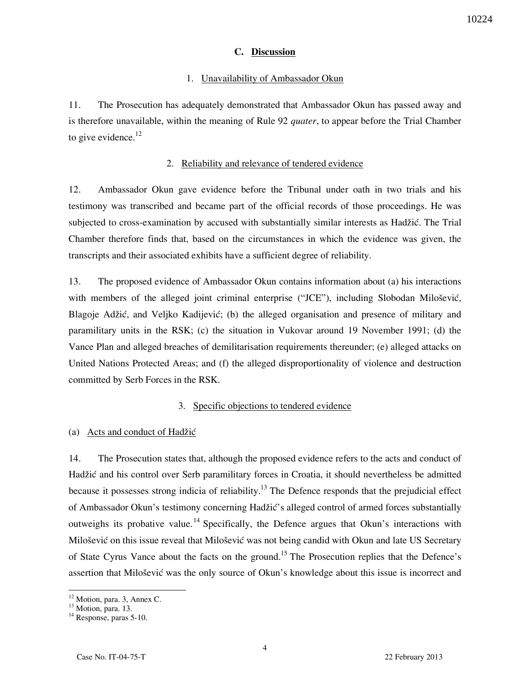### **C. Discussion**

#### 1. Unavailability of Ambassador Okun

11. The Prosecution has adequately demonstrated that Ambassador Okun has passed away and is therefore unavailable, within the meaning of Rule 92 *quater*, to appear before the Trial Chamber to give evidence. $^{12}$ 

#### 2. Reliability and relevance of tendered evidence

12. Ambassador Okun gave evidence before the Tribunal under oath in two trials and his testimony was transcribed and became part of the official records of those proceedings. He was subjected to cross-examination by accused with substantially similar interests as Hadžić. The Trial Chamber therefore finds that, based on the circumstances in which the evidence was given, the transcripts and their associated exhibits have a sufficient degree of reliability.

13. The proposed evidence of Ambassador Okun contains information about (a) his interactions with members of the alleged joint criminal enterprise ("JCE"), including Slobodan Milošević, Blagoje Adžić, and Veljko Kadijević; (b) the alleged organisation and presence of military and paramilitary units in the RSK; (c) the situation in Vukovar around 19 November 1991; (d) the Vance Plan and alleged breaches of demilitarisation requirements thereunder; (e) alleged attacks on United Nations Protected Areas; and (f) the alleged disproportionality of violence and destruction committed by Serb Forces in the RSK.

## 3. Specific objections to tendered evidence

#### (a) Acts and conduct of Hadžić

14. The Prosecution states that, although the proposed evidence refers to the acts and conduct of Hadžić and his control over Serb paramilitary forces in Croatia, it should nevertheless be admitted because it possesses strong indicia of reliability.<sup>13</sup> The Defence responds that the prejudicial effect of Ambassador Okun's testimony concerning Hadžić's alleged control of armed forces substantially outweighs its probative value.<sup>14</sup> Specifically, the Defence argues that Okun's interactions with Milošević on this issue reveal that Milošević was not being candid with Okun and late US Secretary of State Cyrus Vance about the facts on the ground.<sup>15</sup> The Prosecution replies that the Defence's assertion that Milošević was the only source of Okun's knowledge about this issue is incorrect and

 $\overline{a}$  $12$  Motion, para. 3, Annex C.

 $13$  Motion, para. 13.

<sup>&</sup>lt;sup>14</sup> Response, paras 5-10.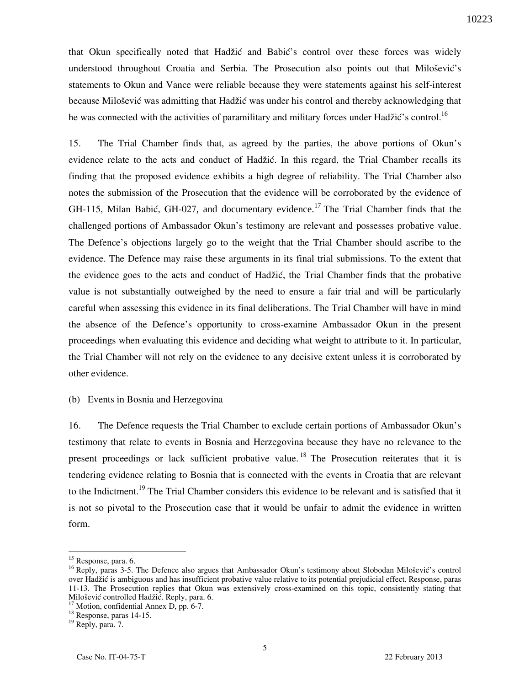that Okun specifically noted that Hadžić and Babić's control over these forces was widely understood throughout Croatia and Serbia. The Prosecution also points out that Milošević's statements to Okun and Vance were reliable because they were statements against his self-interest because Milošević was admitting that Hadžić was under his control and thereby acknowledging that he was connected with the activities of paramilitary and military forces under Hadžić's control.<sup>16</sup>

15. The Trial Chamber finds that, as agreed by the parties, the above portions of Okun's evidence relate to the acts and conduct of Hadžić. In this regard, the Trial Chamber recalls its finding that the proposed evidence exhibits a high degree of reliability. The Trial Chamber also notes the submission of the Prosecution that the evidence will be corroborated by the evidence of GH-115, Milan Babić, GH-027, and documentary evidence.<sup>17</sup> The Trial Chamber finds that the challenged portions of Ambassador Okun's testimony are relevant and possesses probative value. The Defence's objections largely go to the weight that the Trial Chamber should ascribe to the evidence. The Defence may raise these arguments in its final trial submissions. To the extent that the evidence goes to the acts and conduct of Hadžić, the Trial Chamber finds that the probative value is not substantially outweighed by the need to ensure a fair trial and will be particularly careful when assessing this evidence in its final deliberations. The Trial Chamber will have in mind the absence of the Defence's opportunity to cross-examine Ambassador Okun in the present proceedings when evaluating this evidence and deciding what weight to attribute to it. In particular, the Trial Chamber will not rely on the evidence to any decisive extent unless it is corroborated by other evidence.

#### (b) Events in Bosnia and Herzegovina

16. The Defence requests the Trial Chamber to exclude certain portions of Ambassador Okun's testimony that relate to events in Bosnia and Herzegovina because they have no relevance to the present proceedings or lack sufficient probative value.<sup>18</sup> The Prosecution reiterates that it is tendering evidence relating to Bosnia that is connected with the events in Croatia that are relevant to the Indictment.<sup>19</sup> The Trial Chamber considers this evidence to be relevant and is satisfied that it is not so pivotal to the Prosecution case that it would be unfair to admit the evidence in written form.

<sup>&</sup>lt;sup>15</sup> Response, para. 6.

<sup>&</sup>lt;sup>16</sup> Reply, paras 3-5. The Defence also argues that Ambassador Okun's testimony about Slobodan Milošević's control over Hadžić is ambiguous and has insufficient probative value relative to its potential prejudicial effect. Response, paras 11-13. The Prosecution replies that Okun was extensively cross-examined on this topic, consistently stating that Milošević controlled Hadžić. Reply, para. 6.

 $17$  Motion, confidential Annex D, pp. 6-7.

<sup>&</sup>lt;sup>18</sup> Response, paras 14-15.

<sup>&</sup>lt;sup>19</sup> Reply, para. 7.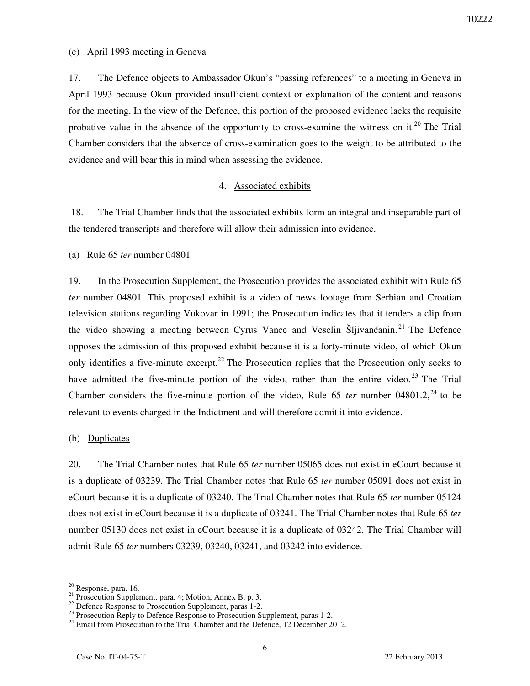## (c) April 1993 meeting in Geneva

17. The Defence objects to Ambassador Okun's "passing references" to a meeting in Geneva in April 1993 because Okun provided insufficient context or explanation of the content and reasons for the meeting. In the view of the Defence, this portion of the proposed evidence lacks the requisite probative value in the absence of the opportunity to cross-examine the witness on it.<sup>20</sup> The Trial Chamber considers that the absence of cross-examination goes to the weight to be attributed to the evidence and will bear this in mind when assessing the evidence.

## 4. Associated exhibits

 18. The Trial Chamber finds that the associated exhibits form an integral and inseparable part of the tendered transcripts and therefore will allow their admission into evidence.

## (a) Rule 65 *ter* number 04801

19. In the Prosecution Supplement, the Prosecution provides the associated exhibit with Rule 65 *ter* number 04801. This proposed exhibit is a video of news footage from Serbian and Croatian television stations regarding Vukovar in 1991; the Prosecution indicates that it tenders a clip from the video showing a meeting between Cyrus Vance and Veselin Šljivančanin.<sup>21</sup> The Defence opposes the admission of this proposed exhibit because it is a forty-minute video, of which Okun only identifies a five-minute excerpt.<sup>22</sup> The Prosecution replies that the Prosecution only seeks to have admitted the five-minute portion of the video, rather than the entire video.<sup>23</sup> The Trial Chamber considers the five-minute portion of the video, Rule  $65$  *ter* number 04801.2,<sup>24</sup> to be relevant to events charged in the Indictment and will therefore admit it into evidence.

### (b) Duplicates

20. The Trial Chamber notes that Rule 65 *ter* number 05065 does not exist in eCourt because it is a duplicate of 03239. The Trial Chamber notes that Rule 65 *ter* number 05091 does not exist in eCourt because it is a duplicate of 03240. The Trial Chamber notes that Rule 65 *ter* number 05124 does not exist in eCourt because it is a duplicate of 03241. The Trial Chamber notes that Rule 65 *ter* number 05130 does not exist in eCourt because it is a duplicate of 03242. The Trial Chamber will admit Rule 65 *ter* numbers 03239, 03240, 03241, and 03242 into evidence.

<sup>&</sup>lt;sup>20</sup> Response, para. 16.

 $21$  Prosecution Supplement, para. 4; Motion, Annex B, p. 3.

<sup>&</sup>lt;sup>22</sup> Defence Response to Prosecution Supplement, paras 1-2.

 $^{23}$  Prosecution Reply to Defence Response to Prosecution Supplement, paras 1-2.

<sup>&</sup>lt;sup>24</sup> Email from Prosecution to the Trial Chamber and the Defence, 12 December 2012.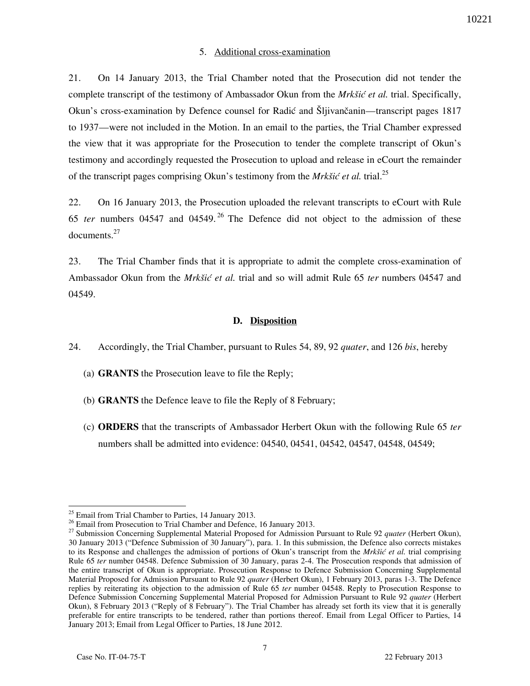## 5. Additional cross-examination

21. On 14 January 2013, the Trial Chamber noted that the Prosecution did not tender the complete transcript of the testimony of Ambassador Okun from the *Mrkšić et al.* trial. Specifically, Okun's cross-examination by Defence counsel for Radić and Šljivančanin—transcript pages 1817 to 1937—were not included in the Motion. In an email to the parties, the Trial Chamber expressed the view that it was appropriate for the Prosecution to tender the complete transcript of Okun's testimony and accordingly requested the Prosecution to upload and release in eCourt the remainder of the transcript pages comprising Okun's testimony from the *Mrkšić et al.* trial.<sup>25</sup>

22. On 16 January 2013, the Prosecution uploaded the relevant transcripts to eCourt with Rule 65 *ter* numbers 04547 and 04549. <sup>26</sup> The Defence did not object to the admission of these documents.<sup>27</sup>

23. The Trial Chamber finds that it is appropriate to admit the complete cross-examination of Ambassador Okun from the *Mrkšić et al.* trial and so will admit Rule 65 *ter* numbers 04547 and 04549.

## **D. Disposition**

- 24. Accordingly, the Trial Chamber, pursuant to Rules 54, 89, 92 *quater*, and 126 *bis*, hereby
	- (a) **GRANTS** the Prosecution leave to file the Reply;
	- (b) **GRANTS** the Defence leave to file the Reply of 8 February;
	- (c) **ORDERS** that the transcripts of Ambassador Herbert Okun with the following Rule 65 *ter* numbers shall be admitted into evidence: 04540, 04541, 04542, 04547, 04548, 04549;

 $\overline{a}$ 

10221

 $25$  Email from Trial Chamber to Parties, 14 January 2013.

<sup>&</sup>lt;sup>26</sup> Email from Prosecution to Trial Chamber and Defence, 16 January 2013.

<sup>27</sup> Submission Concerning Supplemental Material Proposed for Admission Pursuant to Rule 92 *quater* (Herbert Okun), 30 January 2013 ("Defence Submission of 30 January"), para. 1. In this submission, the Defence also corrects mistakes to its Response and challenges the admission of portions of Okun's transcript from the *Mrkšić et al.* trial comprising Rule 65 *ter* number 04548. Defence Submission of 30 January, paras 2-4. The Prosecution responds that admission of the entire transcript of Okun is appropriate. Prosecution Response to Defence Submission Concerning Supplemental Material Proposed for Admission Pursuant to Rule 92 *quater* (Herbert Okun), 1 February 2013, paras 1-3. The Defence replies by reiterating its objection to the admission of Rule 65 *ter* number 04548. Reply to Prosecution Response to Defence Submission Concerning Supplemental Material Proposed for Admission Pursuant to Rule 92 *quater* (Herbert Okun), 8 February 2013 ("Reply of 8 February"). The Trial Chamber has already set forth its view that it is generally preferable for entire transcripts to be tendered, rather than portions thereof. Email from Legal Officer to Parties, 14 January 2013; Email from Legal Officer to Parties, 18 June 2012.